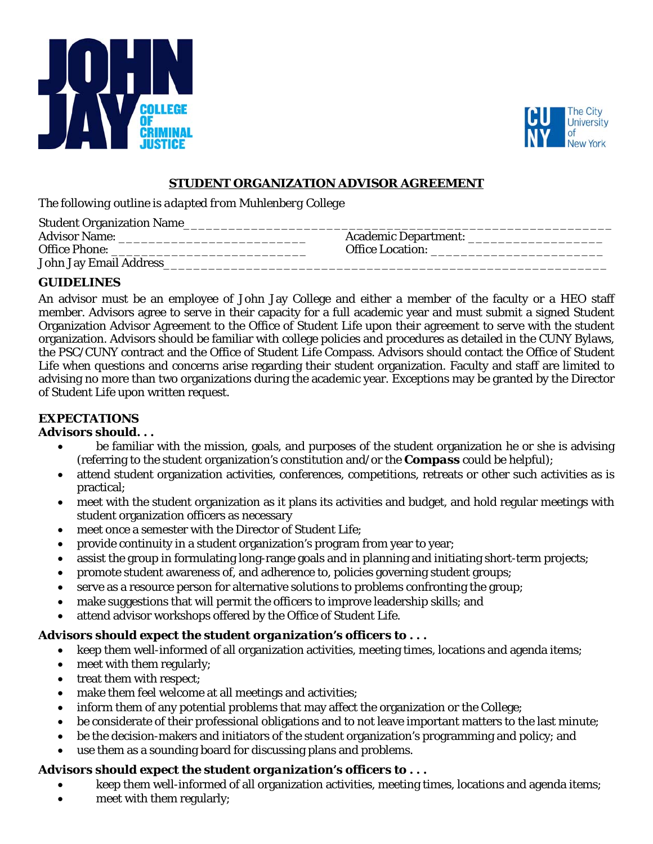



### **STUDENT ORGANIZATION ADVISOR AGREEMENT**

*The following outline is adapted from Muhlenberg College* 

| <b>Student Organization Name_</b> |                             |
|-----------------------------------|-----------------------------|
| <b>Advisor Name:</b>              | <b>Academic Department:</b> |
| <b>Office Phone:</b>              | <b>Office Location:</b>     |
| <b>John Jay Email Address</b>     |                             |

# **GUIDELINES**

An advisor must be an employee of John Jay College and either a member of the faculty or a HEO staff member. Advisors agree to serve in their capacity for a full academic year and must submit a signed Student Organization Advisor Agreement to the Office of Student Life upon their agreement to serve with the student organization. Advisors should be familiar with college policies and procedures as detailed in the CUNY Bylaws, the PSC/CUNY contract and the Office of Student Life Compass. Advisors should contact the Office of Student Life when questions and concerns arise regarding their student organization. Faculty and staff are limited to advising no more than two organizations during the academic year. Exceptions may be granted by the Director of Student Life upon written request.

# **EXPECTATIONS**

### *Advisors should. . .*

- be familiar with the mission, goals, and purposes of the student organization he or she is advising (referring to the student organization's constitution and/or the *Compass* could be helpful);
- attend student organization activities, conferences, competitions, retreats or other such activities as is practical;
- meet with the student organization as it plans its activities and budget, and hold regular meetings with student organization officers as necessary
- meet once a semester with the Director of Student Life;
- provide continuity in a student organization's program from year to year;
- assist the group in formulating long-range goals and in planning and initiating short-term projects;
- promote student awareness of, and adherence to, policies governing student groups;
- serve as a resource person for alternative solutions to problems confronting the group;
- make suggestions that will permit the officers to improve leadership skills; and
- attend advisor workshops offered by the Office of Student Life.

## *Advisors should expect the student organization's officers to . . .*

- keep them well-informed of all organization activities, meeting times, locations and agenda items;
- meet with them regularly;
- treat them with respect;
- make them feel welcome at all meetings and activities;
- inform them of any potential problems that may affect the organization or the College;
- be considerate of their professional obligations and to not leave important matters to the last minute;
- be the decision-makers and initiators of the student organization's programming and policy; and
- use them as a sounding board for discussing plans and problems.

## *Advisors should expect the student organization's officers to . . .*

- keep them well-informed of all organization activities, meeting times, locations and agenda items;
- meet with them regularly;